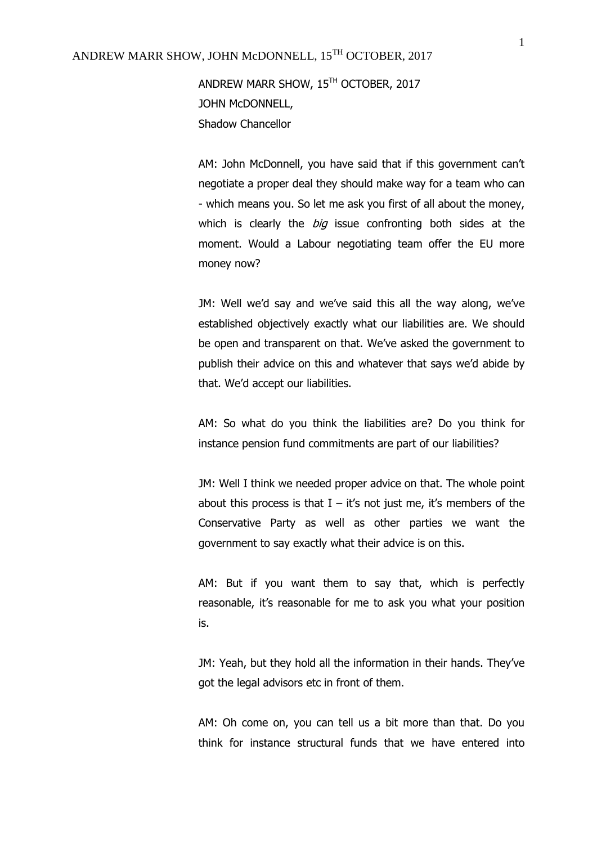ANDREW MARR SHOW, 15TH OCTOBER, 2017 JOHN McDONNELL, Shadow Chancellor

AM: John McDonnell, you have said that if this government can't negotiate a proper deal they should make way for a team who can - which means you. So let me ask you first of all about the money, which is clearly the *big* issue confronting both sides at the moment. Would a Labour negotiating team offer the EU more money now?

JM: Well we'd say and we've said this all the way along, we've established objectively exactly what our liabilities are. We should be open and transparent on that. We've asked the government to publish their advice on this and whatever that says we'd abide by that. We'd accept our liabilities.

AM: So what do you think the liabilities are? Do you think for instance pension fund commitments are part of our liabilities?

JM: Well I think we needed proper advice on that. The whole point about this process is that  $I - it's$  not just me, it's members of the Conservative Party as well as other parties we want the government to say exactly what their advice is on this.

AM: But if you want them to say that, which is perfectly reasonable, it's reasonable for me to ask you what your position is.

JM: Yeah, but they hold all the information in their hands. They've got the legal advisors etc in front of them.

AM: Oh come on, you can tell us a bit more than that. Do you think for instance structural funds that we have entered into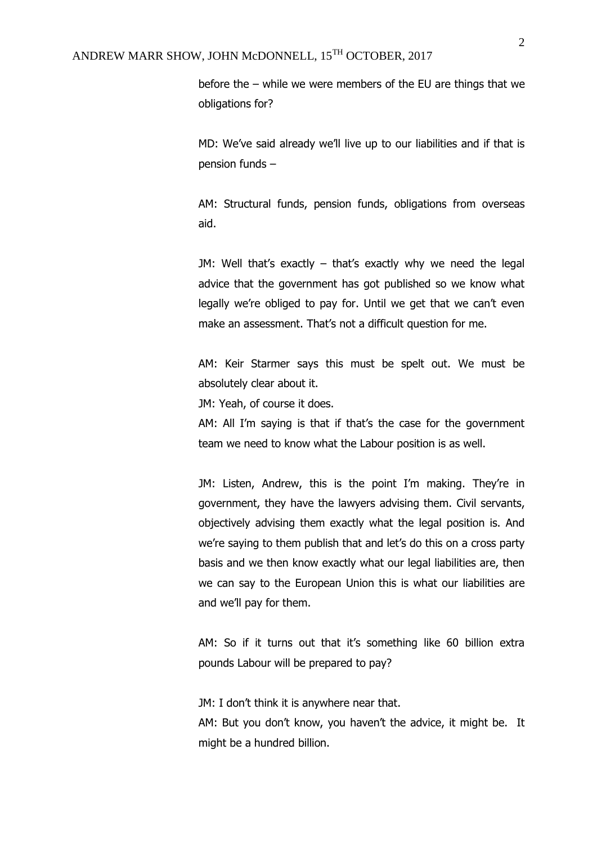before the – while we were members of the EU are things that we obligations for?

MD: We've said already we'll live up to our liabilities and if that is pension funds –

AM: Structural funds, pension funds, obligations from overseas aid.

JM: Well that's exactly – that's exactly why we need the legal advice that the government has got published so we know what legally we're obliged to pay for. Until we get that we can't even make an assessment. That's not a difficult question for me.

AM: Keir Starmer says this must be spelt out. We must be absolutely clear about it.

JM: Yeah, of course it does.

AM: All I'm saying is that if that's the case for the government team we need to know what the Labour position is as well.

JM: Listen, Andrew, this is the point I'm making. They're in government, they have the lawyers advising them. Civil servants, objectively advising them exactly what the legal position is. And we're saying to them publish that and let's do this on a cross party basis and we then know exactly what our legal liabilities are, then we can say to the European Union this is what our liabilities are and we'll pay for them.

AM: So if it turns out that it's something like 60 billion extra pounds Labour will be prepared to pay?

JM: I don't think it is anywhere near that.

AM: But you don't know, you haven't the advice, it might be. It might be a hundred billion.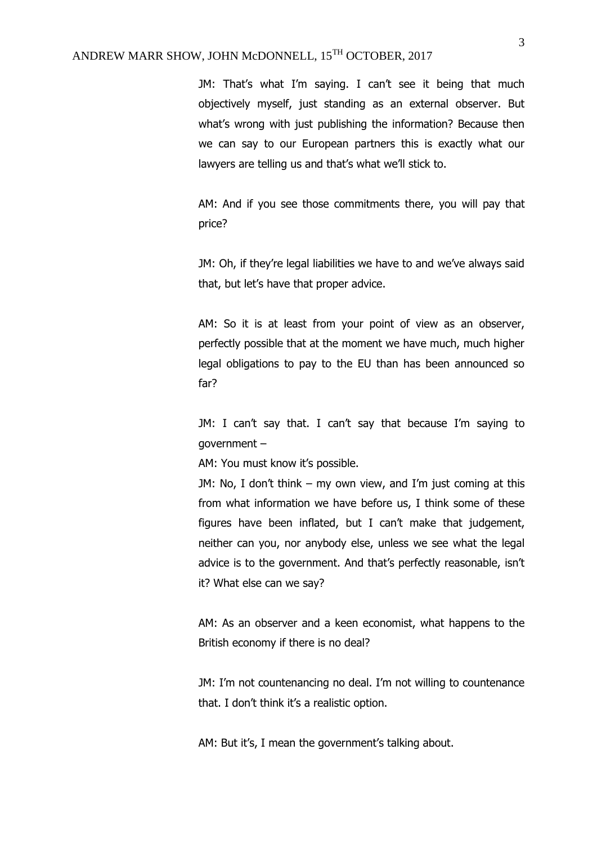JM: That's what I'm saying. I can't see it being that much objectively myself, just standing as an external observer. But what's wrong with just publishing the information? Because then we can say to our European partners this is exactly what our lawyers are telling us and that's what we'll stick to.

AM: And if you see those commitments there, you will pay that price?

JM: Oh, if they're legal liabilities we have to and we've always said that, but let's have that proper advice.

AM: So it is at least from your point of view as an observer, perfectly possible that at the moment we have much, much higher legal obligations to pay to the EU than has been announced so far?

JM: I can't say that. I can't say that because I'm saying to government –

AM: You must know it's possible.

JM: No, I don't think – my own view, and I'm just coming at this from what information we have before us, I think some of these figures have been inflated, but I can't make that judgement, neither can you, nor anybody else, unless we see what the legal advice is to the government. And that's perfectly reasonable, isn't it? What else can we say?

AM: As an observer and a keen economist, what happens to the British economy if there is no deal?

JM: I'm not countenancing no deal. I'm not willing to countenance that. I don't think it's a realistic option.

AM: But it's, I mean the government's talking about.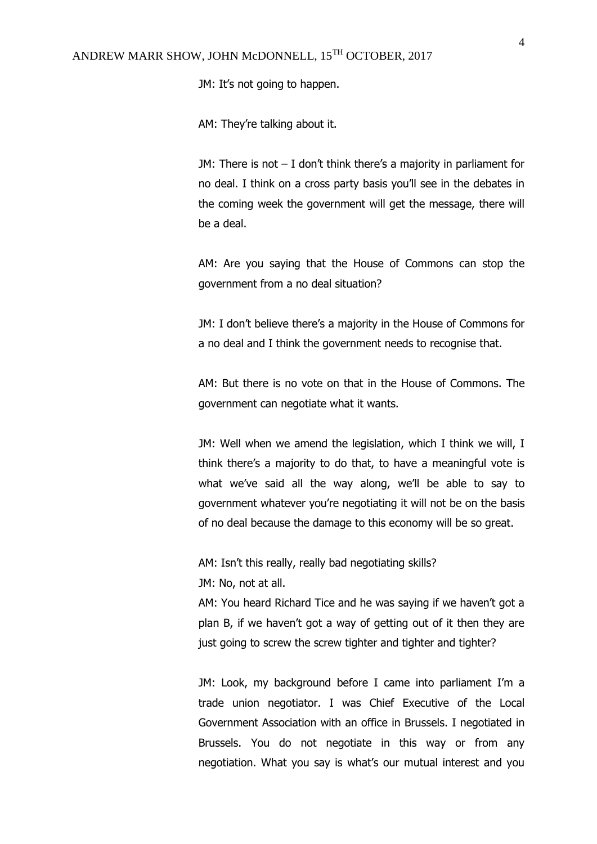JM: It's not going to happen.

AM: They're talking about it.

JM: There is not – I don't think there's a majority in parliament for no deal. I think on a cross party basis you'll see in the debates in the coming week the government will get the message, there will be a deal.

AM: Are you saying that the House of Commons can stop the government from a no deal situation?

JM: I don't believe there's a majority in the House of Commons for a no deal and I think the government needs to recognise that.

AM: But there is no vote on that in the House of Commons. The government can negotiate what it wants.

JM: Well when we amend the legislation, which I think we will, I think there's a majority to do that, to have a meaningful vote is what we've said all the way along, we'll be able to say to government whatever you're negotiating it will not be on the basis of no deal because the damage to this economy will be so great.

AM: Isn't this really, really bad negotiating skills? JM: No, not at all.

AM: You heard Richard Tice and he was saying if we haven't got a plan B, if we haven't got a way of getting out of it then they are just going to screw the screw tighter and tighter and tighter?

JM: Look, my background before I came into parliament I'm a trade union negotiator. I was Chief Executive of the Local Government Association with an office in Brussels. I negotiated in Brussels. You do not negotiate in this way or from any negotiation. What you say is what's our mutual interest and you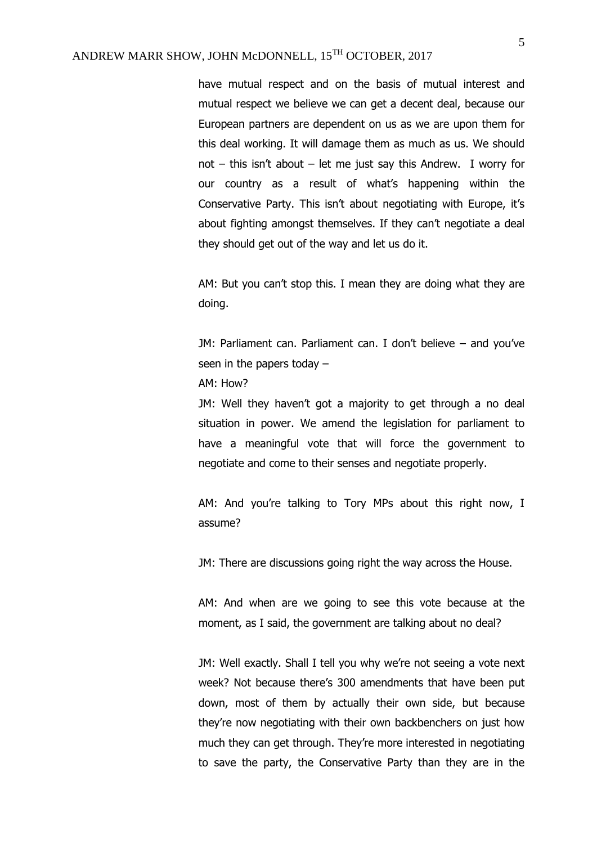have mutual respect and on the basis of mutual interest and mutual respect we believe we can get a decent deal, because our European partners are dependent on us as we are upon them for this deal working. It will damage them as much as us. We should not – this isn't about – let me just say this Andrew. I worry for our country as a result of what's happening within the Conservative Party. This isn't about negotiating with Europe, it's about fighting amongst themselves. If they can't negotiate a deal they should get out of the way and let us do it.

AM: But you can't stop this. I mean they are doing what they are doing.

JM: Parliament can. Parliament can. I don't believe – and you've seen in the papers today –

AM: How?

JM: Well they haven't got a majority to get through a no deal situation in power. We amend the legislation for parliament to have a meaningful vote that will force the government to negotiate and come to their senses and negotiate properly.

AM: And you're talking to Tory MPs about this right now, I assume?

JM: There are discussions going right the way across the House.

AM: And when are we going to see this vote because at the moment, as I said, the government are talking about no deal?

JM: Well exactly. Shall I tell you why we're not seeing a vote next week? Not because there's 300 amendments that have been put down, most of them by actually their own side, but because they're now negotiating with their own backbenchers on just how much they can get through. They're more interested in negotiating to save the party, the Conservative Party than they are in the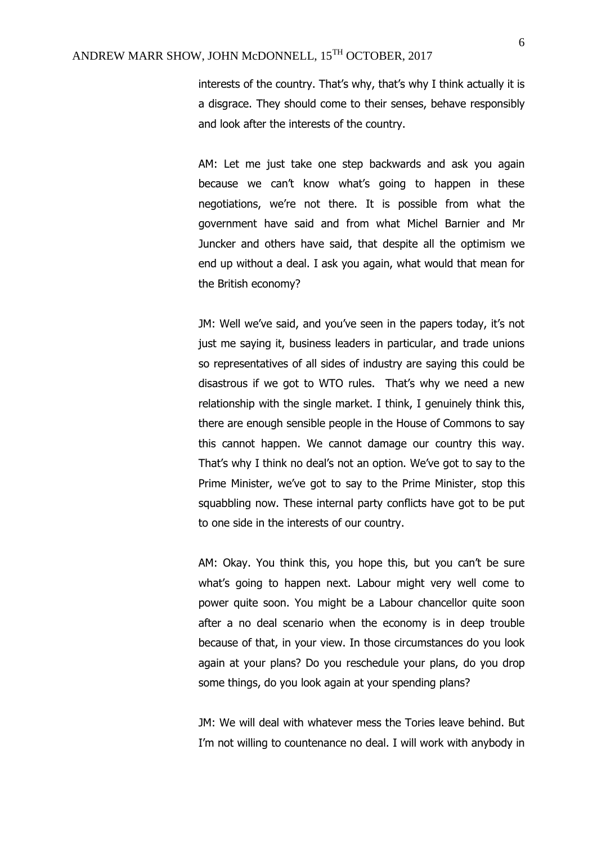interests of the country. That's why, that's why I think actually it is a disgrace. They should come to their senses, behave responsibly and look after the interests of the country.

AM: Let me just take one step backwards and ask you again because we can't know what's going to happen in these negotiations, we're not there. It is possible from what the government have said and from what Michel Barnier and Mr Juncker and others have said, that despite all the optimism we end up without a deal. I ask you again, what would that mean for the British economy?

JM: Well we've said, and you've seen in the papers today, it's not just me saying it, business leaders in particular, and trade unions so representatives of all sides of industry are saying this could be disastrous if we got to WTO rules. That's why we need a new relationship with the single market. I think, I genuinely think this, there are enough sensible people in the House of Commons to say this cannot happen. We cannot damage our country this way. That's why I think no deal's not an option. We've got to say to the Prime Minister, we've got to say to the Prime Minister, stop this squabbling now. These internal party conflicts have got to be put to one side in the interests of our country.

AM: Okay. You think this, you hope this, but you can't be sure what's going to happen next. Labour might very well come to power quite soon. You might be a Labour chancellor quite soon after a no deal scenario when the economy is in deep trouble because of that, in your view. In those circumstances do you look again at your plans? Do you reschedule your plans, do you drop some things, do you look again at your spending plans?

JM: We will deal with whatever mess the Tories leave behind. But I'm not willing to countenance no deal. I will work with anybody in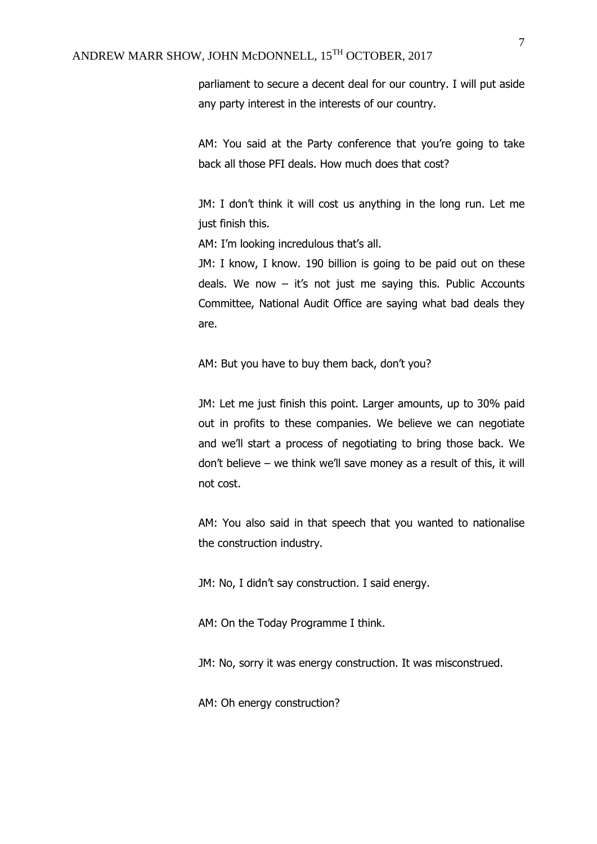## ANDREW MARR SHOW, JOHN McDONNELL, 15TH OCTOBER, 2017

parliament to secure a decent deal for our country. I will put aside any party interest in the interests of our country.

AM: You said at the Party conference that you're going to take back all those PFI deals. How much does that cost?

JM: I don't think it will cost us anything in the long run. Let me just finish this.

AM: I'm looking incredulous that's all.

JM: I know, I know. 190 billion is going to be paid out on these deals. We now  $-$  it's not just me saying this. Public Accounts Committee, National Audit Office are saying what bad deals they are.

AM: But you have to buy them back, don't you?

JM: Let me just finish this point. Larger amounts, up to 30% paid out in profits to these companies. We believe we can negotiate and we'll start a process of negotiating to bring those back. We don't believe – we think we'll save money as a result of this, it will not cost.

AM: You also said in that speech that you wanted to nationalise the construction industry.

JM: No, I didn't say construction. I said energy.

AM: On the Today Programme I think.

JM: No, sorry it was energy construction. It was misconstrued.

AM: Oh energy construction?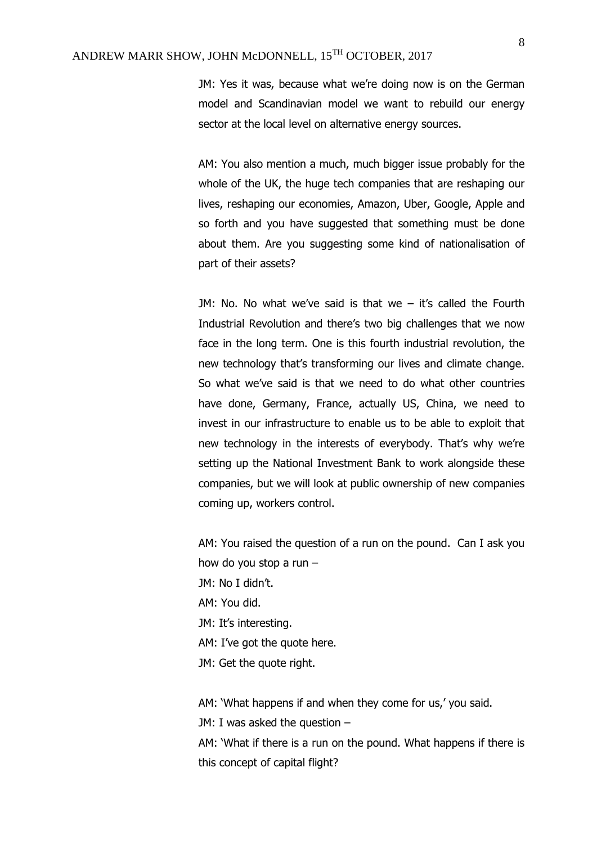JM: Yes it was, because what we're doing now is on the German model and Scandinavian model we want to rebuild our energy sector at the local level on alternative energy sources.

AM: You also mention a much, much bigger issue probably for the whole of the UK, the huge tech companies that are reshaping our lives, reshaping our economies, Amazon, Uber, Google, Apple and so forth and you have suggested that something must be done about them. Are you suggesting some kind of nationalisation of part of their assets?

JM: No. No what we've said is that we – it's called the Fourth Industrial Revolution and there's two big challenges that we now face in the long term. One is this fourth industrial revolution, the new technology that's transforming our lives and climate change. So what we've said is that we need to do what other countries have done, Germany, France, actually US, China, we need to invest in our infrastructure to enable us to be able to exploit that new technology in the interests of everybody. That's why we're setting up the National Investment Bank to work alongside these companies, but we will look at public ownership of new companies coming up, workers control.

AM: You raised the question of a run on the pound. Can I ask you how do you stop a run – JM: No I didn't. AM: You did. JM: It's interesting. AM: I've got the quote here. JM: Get the quote right.

AM: 'What happens if and when they come for us,' you said.

JM: I was asked the question –

AM: 'What if there is a run on the pound. What happens if there is this concept of capital flight?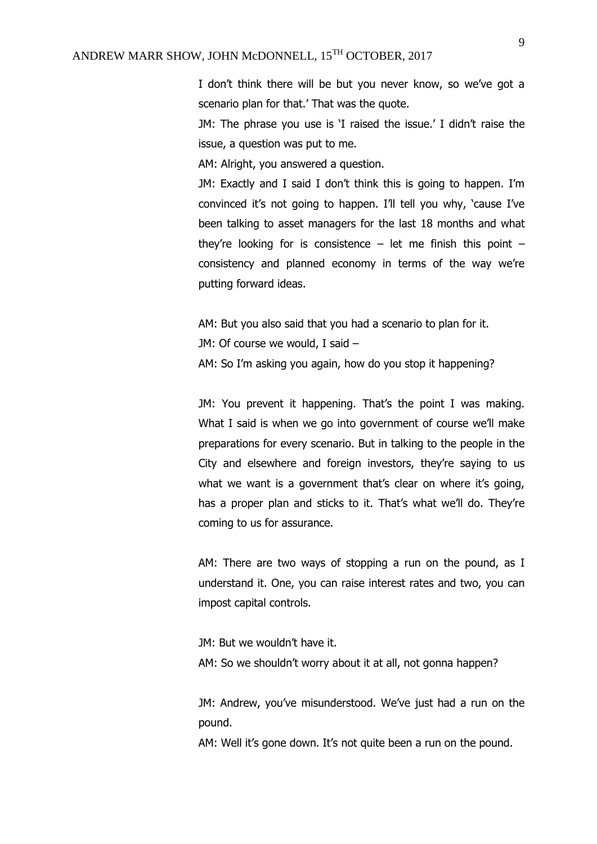I don't think there will be but you never know, so we've got a scenario plan for that.' That was the quote.

JM: The phrase you use is 'I raised the issue.' I didn't raise the issue, a question was put to me.

AM: Alright, you answered a question.

JM: Exactly and I said I don't think this is going to happen. I'm convinced it's not going to happen. I'll tell you why, 'cause I've been talking to asset managers for the last 18 months and what they're looking for is consistence  $-$  let me finish this point  $$ consistency and planned economy in terms of the way we're putting forward ideas.

AM: But you also said that you had a scenario to plan for it. JM: Of course we would, I said –

AM: So I'm asking you again, how do you stop it happening?

JM: You prevent it happening. That's the point I was making. What I said is when we go into government of course we'll make preparations for every scenario. But in talking to the people in the City and elsewhere and foreign investors, they're saying to us what we want is a government that's clear on where it's going, has a proper plan and sticks to it. That's what we'll do. They're coming to us for assurance.

AM: There are two ways of stopping a run on the pound, as I understand it. One, you can raise interest rates and two, you can impost capital controls.

JM: But we wouldn't have it.

AM: So we shouldn't worry about it at all, not gonna happen?

JM: Andrew, you've misunderstood. We've just had a run on the pound.

AM: Well it's gone down. It's not quite been a run on the pound.